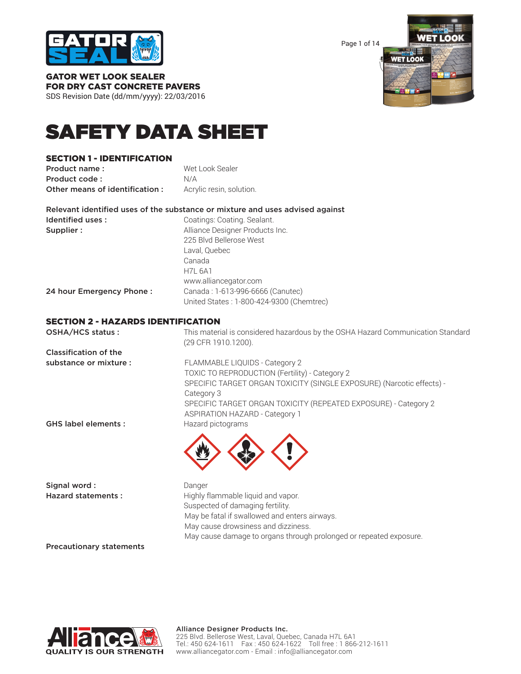

Page 1 of 14



GATOR WET LOOK SEALER FOR DRY CAST CONCRETE PAVERS

SDS Revision Date (dd/mm/yyyy): 22/03/2016

# SAFETY DATA SHEET

# SECTION 1 - IDENTIFICATION

**Product name:** Wet Look Sealer Product code : N/A Other means of identification : Acrylic resin, solution.

Relevant identified uses of the substance or mixture and uses advised against Identified uses : Coatings: Coating. Sealant. Supplier : Alliance Designer Products Inc. 225 Blvd Bellerose West

> Laval, Quebec Canada H7L 6A1

www.alliancegator.com

24 hour Emergency Phone : Canada : 1-613-996-6666 (Canutec)

United States : 1-800-424-9300 (Chemtrec)

# SECTION 2 - HAZARDS IDENTIFICATION

OSHA/HCS status : This material is considered hazardous by the OSHA Hazard Communication Standard (29 CFR 1910.1200).

Classification of the

substance or mixture : FLAMMABLE LIQUIDS - Category 2 TOXIC TO REPRODUCTION (Fertility) - Category 2 SPECIFIC TARGET ORGAN TOXICITY (SINGLE EXPOSURE) (Narcotic effects) - Category 3 SPECIFIC TARGET ORGAN TOXICITY (REPEATED EXPOSURE) - Category 2 ASPIRATION HAZARD - Category 1

GHS label elements : Hazard pictograms



Signal word : Danger

Hazard statements : Highly flammable liquid and vapor. Suspected of damaging fertility. May be fatal if swallowed and enters airways. May cause drowsiness and dizziness. May cause damage to organs through prolonged or repeated exposure.

Precautionary statements

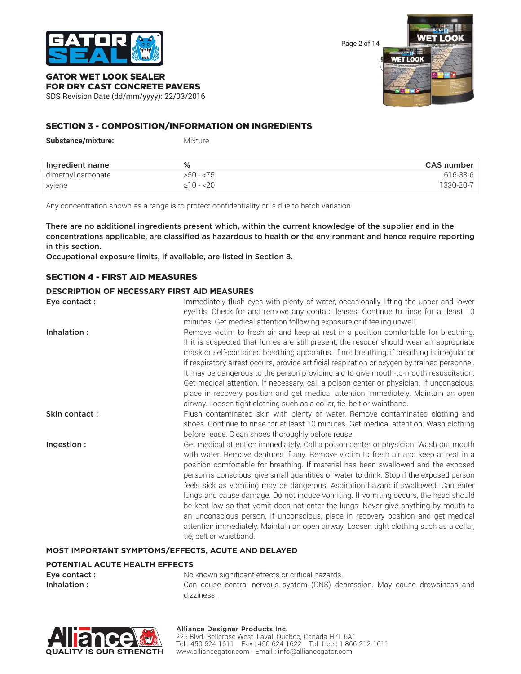

Page 2 of 14



#### GATOR WET LOOK SEALER FOR DRY CAST CONCRETE PAVERS SDS Revision Date (dd/mm/yyyy): 22/03/2016

# SECTION 3 - COMPOSITION/INFORMATION ON INGREDIENTS

| <b>Substance/mixture:</b> | <b>Mixture</b>  |                |
|---------------------------|-----------------|----------------|
| Ingredient name           | %               | CAS number     |
| dimethyl carbonate        | $\geq 50 - 575$ | $616 - 38 - 6$ |
| xylene                    | $\geq 10 - 20$  | 1330-20-7      |

Any concentration shown as a range is to protect confidentiality or is due to batch variation.

There are no additional ingredients present which, within the current knowledge of the supplier and in the concentrations applicable, are classified as hazardous to health or the environment and hence require reporting in this section.

Occupational exposure limits, if available, are listed in Section 8.

## SECTION 4 - FIRST AID MEASURES

#### **DESCRIPTION OF NECESSARY FIRST AID MEASURES**

| Eye contact:  | Immediately flush eyes with plenty of water, occasionally lifting the upper and lower<br>eyelids. Check for and remove any contact lenses. Continue to rinse for at least 10<br>minutes. Get medical attention following exposure or if feeling unwell.                                                                                                                                                                                                                                                                                                                                                                                                                                                                                                                                                                                       |
|---------------|-----------------------------------------------------------------------------------------------------------------------------------------------------------------------------------------------------------------------------------------------------------------------------------------------------------------------------------------------------------------------------------------------------------------------------------------------------------------------------------------------------------------------------------------------------------------------------------------------------------------------------------------------------------------------------------------------------------------------------------------------------------------------------------------------------------------------------------------------|
| Inhalation:   | Remove victim to fresh air and keep at rest in a position comfortable for breathing.<br>If it is suspected that fumes are still present, the rescuer should wear an appropriate<br>mask or self-contained breathing apparatus. If not breathing, if breathing is irregular or<br>if respiratory arrest occurs, provide artificial respiration or oxygen by trained personnel.<br>It may be dangerous to the person providing aid to give mouth-to-mouth resuscitation.<br>Get medical attention. If necessary, call a poison center or physician. If unconscious,<br>place in recovery position and get medical attention immediately. Maintain an open<br>airway. Loosen tight clothing such as a collar, tie, belt or waistband.                                                                                                            |
| Skin contact: | Flush contaminated skin with plenty of water. Remove contaminated clothing and<br>shoes. Continue to rinse for at least 10 minutes. Get medical attention. Wash clothing<br>before reuse. Clean shoes thoroughly before reuse.                                                                                                                                                                                                                                                                                                                                                                                                                                                                                                                                                                                                                |
| Ingestion:    | Get medical attention immediately. Call a poison center or physician. Wash out mouth<br>with water. Remove dentures if any. Remove victim to fresh air and keep at rest in a<br>position comfortable for breathing. If material has been swallowed and the exposed<br>person is conscious, give small quantities of water to drink. Stop if the exposed person<br>feels sick as vomiting may be dangerous. Aspiration hazard if swallowed. Can enter<br>lungs and cause damage. Do not induce vomiting. If vomiting occurs, the head should<br>be kept low so that vomit does not enter the lungs. Never give anything by mouth to<br>an unconscious person. If unconscious, place in recovery position and get medical<br>attention immediately. Maintain an open airway. Loosen tight clothing such as a collar,<br>tie, belt or waistband. |

#### **MOST IMPORTANT SYMPTOMS/EFFECTS, ACUTE AND DELAYED**

#### **POTENTIAL ACUTE HEALTH EFFECTS**

| Eye contact : | No known significant effects or critical hazards.                           |
|---------------|-----------------------------------------------------------------------------|
| Inhalation :  | Can cause central nervous system (CNS) depression. May cause drowsiness and |
|               | dizziness.                                                                  |



# Alliance Designer Products Inc.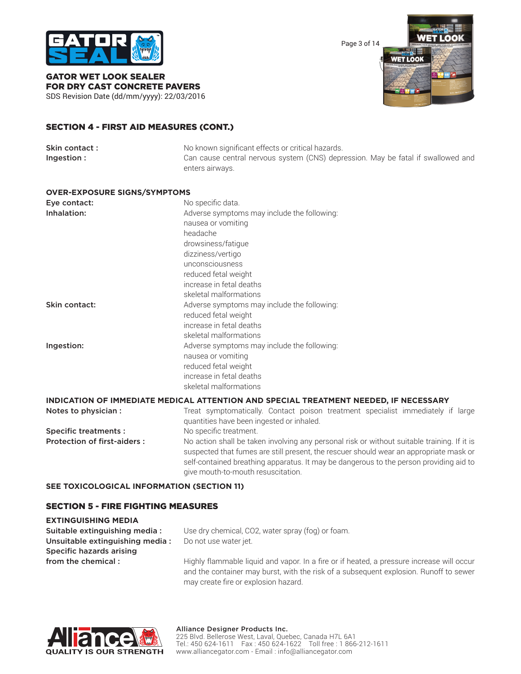

Page 3 of 14



GATOR WET LOOK SEALER FOR DRY CAST CONCRETE PAVERS SDS Revision Date (dd/mm/yyyy): 22/03/2016

# SECTION 4 - FIRST AID MEASURES (CONT.)

| Skin contact : | No known significant effects or critical hazards.                                |
|----------------|----------------------------------------------------------------------------------|
| Ingestion:     | Can cause central nervous system (CNS) depression. May be fatal if swallowed and |
|                | enters airways.                                                                  |

#### **OVER-EXPOSURE SIGNS/SYMPTOMS**

| Eye contact:  | No specific data.                           |
|---------------|---------------------------------------------|
| Inhalation:   | Adverse symptoms may include the following: |
|               | nausea or vomiting                          |
|               | headache                                    |
|               | drowsiness/fatique                          |
|               | dizziness/vertigo                           |
|               | unconsciousness                             |
|               | reduced fetal weight                        |
|               | increase in fetal deaths                    |
|               | skeletal malformations                      |
| Skin contact: | Adverse symptoms may include the following: |
|               | reduced fetal weight                        |
|               | increase in fetal deaths                    |
|               | skeletal malformations                      |
| Ingestion:    | Adverse symptoms may include the following: |
|               | nausea or vomiting                          |
|               | reduced fetal weight                        |
|               | increase in fetal deaths                    |
|               | skeletal malformations                      |

# **INDICATION OF IMMEDIATE MEDICAL ATTENTION AND SPECIAL TREATMENT NEEDED, IF NECESSARY**

| Notes to physician :               | Treat symptomatically. Contact poison treatment specialist immediately if large                                                                                                                                                                                                                                       |  |
|------------------------------------|-----------------------------------------------------------------------------------------------------------------------------------------------------------------------------------------------------------------------------------------------------------------------------------------------------------------------|--|
|                                    | quantities have been ingested or inhaled.                                                                                                                                                                                                                                                                             |  |
| <b>Specific treatments:</b>        | No specific treatment.                                                                                                                                                                                                                                                                                                |  |
| <b>Protection of first-aiders:</b> | No action shall be taken involving any personal risk or without suitable training. If it is<br>suspected that fumes are still present, the rescuer should wear an appropriate mask or<br>self-contained breathing apparatus. It may be dangerous to the person providing aid to<br>give mouth-to-mouth resuscitation. |  |

#### **SEE TOXICOLOGICAL INFORMATION (SECTION 11)**

# SECTION 5 - FIRE FIGHTING MEASURES

**EXTINGUISHING MEDIA** Suitable extinguishing media : Use dry chemical, CO2, water spray (fog) or foam. Unsuitable extinguishing media : Do not use water jet. Specific hazards arising from the chemical : Highly flammable liquid and vapor. In a fire or if heated, a pressure increase will occur and the container may burst, with the risk of a subsequent explosion. Runoff to sewer



may create fire or explosion hazard.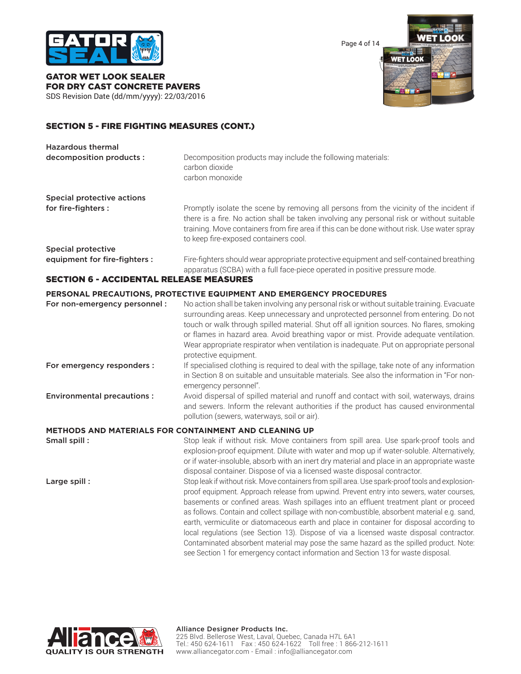

Page 4 of 14



GATOR WET LOOK SEALER FOR DRY CAST CONCRETE PAVERS SDS Revision Date (dd/mm/yyyy): 22/03/2016

# SECTION 5 - FIRE FIGHTING MEASURES (CONT.)

| <b>Hazardous thermal</b><br>decomposition products : | Decomposition products may include the following materials:<br>carbon dioxide<br>carbon monoxide                                                                                                                                                                                                                            |
|------------------------------------------------------|-----------------------------------------------------------------------------------------------------------------------------------------------------------------------------------------------------------------------------------------------------------------------------------------------------------------------------|
| Special protective actions<br>for fire-fighters :    | Promptly isolate the scene by removing all persons from the vicinity of the incident if<br>there is a fire. No action shall be taken involving any personal risk or without suitable<br>training. Move containers from fire area if this can be done without risk. Use water spray<br>to keep fire-exposed containers cool. |
| Special protective<br>equipment for fire-fighters :  | Fire-fighters should wear appropriate protective equipment and self-contained breathing                                                                                                                                                                                                                                     |
|                                                      | apparatus (SCBA) with a full face-piece operated in positive pressure mode.                                                                                                                                                                                                                                                 |

## SECTION 6 - ACCIDENTAL RELEASE MEASURES

#### **PERSONAL PRECAUTIONS, PROTECTIVE EQUIPMENT AND EMERGENCY PROCEDURES**

| For non-emergency personnel:                                 | No action shall be taken involving any personal risk or without suitable training. Evacuate<br>surrounding areas. Keep unnecessary and unprotected personnel from entering. Do not<br>touch or walk through spilled material. Shut off all ignition sources. No flares, smoking<br>or flames in hazard area. Avoid breathing vapor or mist. Provide adequate ventilation.<br>Wear appropriate respirator when ventilation is inadequate. Put on appropriate personal<br>protective equipment. |
|--------------------------------------------------------------|-----------------------------------------------------------------------------------------------------------------------------------------------------------------------------------------------------------------------------------------------------------------------------------------------------------------------------------------------------------------------------------------------------------------------------------------------------------------------------------------------|
| For emergency responders :                                   | If specialised clothing is required to deal with the spillage, take note of any information<br>in Section 8 on suitable and unsuitable materials. See also the information in "For non-<br>emergency personnel".                                                                                                                                                                                                                                                                              |
| <b>Environmental precautions:</b>                            | Avoid dispersal of spilled material and runoff and contact with soil, waterways, drains<br>and sewers. Inform the relevant authorities if the product has caused environmental<br>pollution (sewers, waterways, soil or air).                                                                                                                                                                                                                                                                 |
| <b>METHODS AND MATERIALS FOR CONTAINMENT AND CLEANING UP</b> |                                                                                                                                                                                                                                                                                                                                                                                                                                                                                               |

#### **METHODS AND MATERIALS FOR CONTAINMENT AND CLEANING UP**

**Small spill :** Stop leak if without risk. Move containers from spill area. Use spark-proof tools and explosion-proof equipment. Dilute with water and mop up if water-soluble. Alternatively, or if water-insoluble, absorb with an inert dry material and place in an appropriate waste disposal container. Dispose of via a licensed waste disposal contractor. Large spill : Stop leak if without risk. Move containers from spill area. Use spark-proof tools and explosionproof equipment. Approach release from upwind. Prevent entry into sewers, water courses, basements or confined areas. Wash spillages into an effluent treatment plant or proceed as follows. Contain and collect spillage with non-combustible, absorbent material e.g. sand, earth, vermiculite or diatomaceous earth and place in container for disposal according to local regulations (see Section 13). Dispose of via a licensed waste disposal contractor. Contaminated absorbent material may pose the same hazard as the spilled product. Note: see Section 1 for emergency contact information and Section 13 for waste disposal.

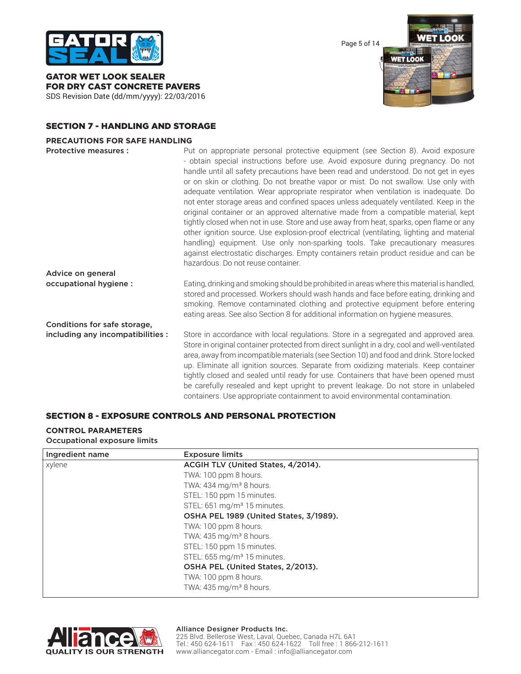

GATOR WET LOOK SEALER FOR DRY CAST CONCRETE PAVERS SDS Revision Date (dd/mm/yyyy): 22/03/2016 Page 5 of 14



# SECTION 7 - HANDLING AND STORAGE

#### **PRECAUTIONS FOR SAFE HANDLING**

| <b>Protective measures:</b>       | Put on appropriate personal protective equipment (see Section 8). Avoid exposure<br>- obtain special instructions before use. Avoid exposure during pregnancy. Do not<br>handle until all safety precautions have been read and understood. Do not get in eyes<br>or on skin or clothing. Do not breathe vapor or mist. Do not swallow. Use only with<br>adequate ventilation. Wear appropriate respirator when ventilation is inadequate. Do<br>not enter storage areas and confined spaces unless adequately ventilated. Keep in the<br>original container or an approved alternative made from a compatible material, kept<br>tightly closed when not in use. Store and use away from heat, sparks, open flame or any<br>other ignition source. Use explosion-proof electrical (ventilating, lighting and material<br>handling) equipment. Use only non-sparking tools. Take precautionary measures<br>against electrostatic discharges. Empty containers retain product residue and can be<br>hazardous. Do not reuse container. |
|-----------------------------------|--------------------------------------------------------------------------------------------------------------------------------------------------------------------------------------------------------------------------------------------------------------------------------------------------------------------------------------------------------------------------------------------------------------------------------------------------------------------------------------------------------------------------------------------------------------------------------------------------------------------------------------------------------------------------------------------------------------------------------------------------------------------------------------------------------------------------------------------------------------------------------------------------------------------------------------------------------------------------------------------------------------------------------------|
| Advice on general                 |                                                                                                                                                                                                                                                                                                                                                                                                                                                                                                                                                                                                                                                                                                                                                                                                                                                                                                                                                                                                                                      |
| occupational hygiene :            | Eating, drinking and smoking should be prohibited in areas where this material is handled,<br>stored and processed. Workers should wash hands and face before eating, drinking and<br>smoking. Remove contaminated clothing and protective equipment before entering<br>eating areas. See also Section 8 for additional information on hygiene measures.                                                                                                                                                                                                                                                                                                                                                                                                                                                                                                                                                                                                                                                                             |
| Conditions for safe storage,      |                                                                                                                                                                                                                                                                                                                                                                                                                                                                                                                                                                                                                                                                                                                                                                                                                                                                                                                                                                                                                                      |
| including any incompatibilities : | Store in accordance with local regulations. Store in a segregated and approved area.<br>Store in original container protected from direct sunlight in a dry, cool and well-ventilated<br>area, away from incompatible materials (see Section 10) and food and drink. Store locked<br>up. Eliminate all ignition sources. Separate from oxidizing materials. Keep container<br>tightly closed and sealed until ready for use. Containers that have been opened must<br>be carefully resealed and kept upright to prevent leakage. Do not store in unlabeled                                                                                                                                                                                                                                                                                                                                                                                                                                                                           |

# containers. Use appropriate containment to avoid environmental contamination.

# SECTION 8 - EXPOSURE CONTROLS AND PERSONAL PROTECTION

#### **CONTROL PARAMETERS**

Occupational exposure limits

| Ingredient name                   | <b>Exposure limits</b>                  |
|-----------------------------------|-----------------------------------------|
| xylene                            | ACGIH TLV (United States, 4/2014).      |
|                                   | TWA: 100 ppm 8 hours.                   |
|                                   | TWA: $434 \text{ mg/m}^3$ 8 hours.      |
|                                   | STEL: 150 ppm 15 minutes.               |
|                                   | STEL: 651 mg/m <sup>3</sup> 15 minutes. |
|                                   | OSHA PEL 1989 (United States, 3/1989).  |
|                                   | TWA: 100 ppm 8 hours.                   |
|                                   | TWA: $435 \,\mathrm{mg/m}^3$ 8 hours.   |
|                                   | STEL: 150 ppm 15 minutes.               |
|                                   | STEL: 655 mg/m <sup>3</sup> 15 minutes. |
| OSHA PEL (United States, 2/2013). |                                         |
|                                   | TWA: 100 ppm 8 hours.                   |
|                                   | TWA: $435 \,\mathrm{mg/m^3}$ 8 hours.   |

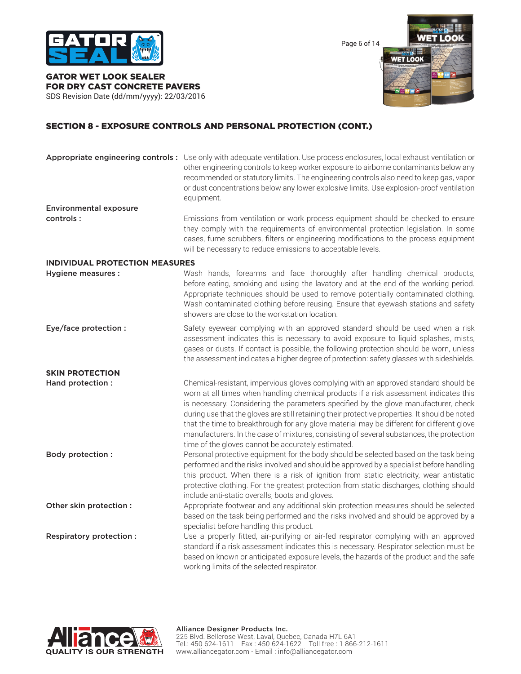

GATOR WET LOOK SEALER

FOR DRY CAST CONCRETE PAVERS SDS Revision Date (dd/mm/yyyy): 22/03/2016 Page 6 of 14



# SECTION 8 - EXPOSURE CONTROLS AND PERSONAL PROTECTION (CONT.)

|                                            | Appropriate engineering controls: Use only with adequate ventilation. Use process enclosures, local exhaust ventilation or<br>other engineering controls to keep worker exposure to airborne contaminants below any<br>recommended or statutory limits. The engineering controls also need to keep gas, vapor<br>or dust concentrations below any lower explosive limits. Use explosion-proof ventilation<br>equipment.                                                                                                                                                                                              |
|--------------------------------------------|----------------------------------------------------------------------------------------------------------------------------------------------------------------------------------------------------------------------------------------------------------------------------------------------------------------------------------------------------------------------------------------------------------------------------------------------------------------------------------------------------------------------------------------------------------------------------------------------------------------------|
| <b>Environmental exposure</b><br>controls: | Emissions from ventilation or work process equipment should be checked to ensure<br>they comply with the requirements of environmental protection legislation. In some<br>cases, fume scrubbers, filters or engineering modifications to the process equipment<br>will be necessary to reduce emissions to acceptable levels.                                                                                                                                                                                                                                                                                        |
| <b>INDIVIDUAL PROTECTION MEASURES</b>      |                                                                                                                                                                                                                                                                                                                                                                                                                                                                                                                                                                                                                      |
| <b>Hygiene measures:</b>                   | Wash hands, forearms and face thoroughly after handling chemical products,<br>before eating, smoking and using the lavatory and at the end of the working period.<br>Appropriate techniques should be used to remove potentially contaminated clothing.<br>Wash contaminated clothing before reusing. Ensure that eyewash stations and safety<br>showers are close to the workstation location.                                                                                                                                                                                                                      |
| Eye/face protection :                      | Safety eyewear complying with an approved standard should be used when a risk<br>assessment indicates this is necessary to avoid exposure to liquid splashes, mists,<br>gases or dusts. If contact is possible, the following protection should be worn, unless<br>the assessment indicates a higher degree of protection: safety glasses with sideshields.                                                                                                                                                                                                                                                          |
| <b>SKIN PROTECTION</b>                     |                                                                                                                                                                                                                                                                                                                                                                                                                                                                                                                                                                                                                      |
| Hand protection:                           | Chemical-resistant, impervious gloves complying with an approved standard should be<br>worn at all times when handling chemical products if a risk assessment indicates this<br>is necessary. Considering the parameters specified by the glove manufacturer, check<br>during use that the gloves are still retaining their protective properties. It should be noted<br>that the time to breakthrough for any glove material may be different for different glove<br>manufacturers. In the case of mixtures, consisting of several substances, the protection<br>time of the gloves cannot be accurately estimated. |
| <b>Body protection:</b>                    | Personal protective equipment for the body should be selected based on the task being<br>performed and the risks involved and should be approved by a specialist before handling<br>this product. When there is a risk of ignition from static electricity, wear antistatic<br>protective clothing. For the greatest protection from static discharges, clothing should<br>include anti-static overalls, boots and gloves.                                                                                                                                                                                           |
| Other skin protection :                    | Appropriate footwear and any additional skin protection measures should be selected<br>based on the task being performed and the risks involved and should be approved by a<br>specialist before handling this product.                                                                                                                                                                                                                                                                                                                                                                                              |
| Respiratory protection:                    | Use a properly fitted, air-purifying or air-fed respirator complying with an approved<br>standard if a risk assessment indicates this is necessary. Respirator selection must be<br>based on known or anticipated exposure levels, the hazards of the product and the safe<br>working limits of the selected respirator.                                                                                                                                                                                                                                                                                             |

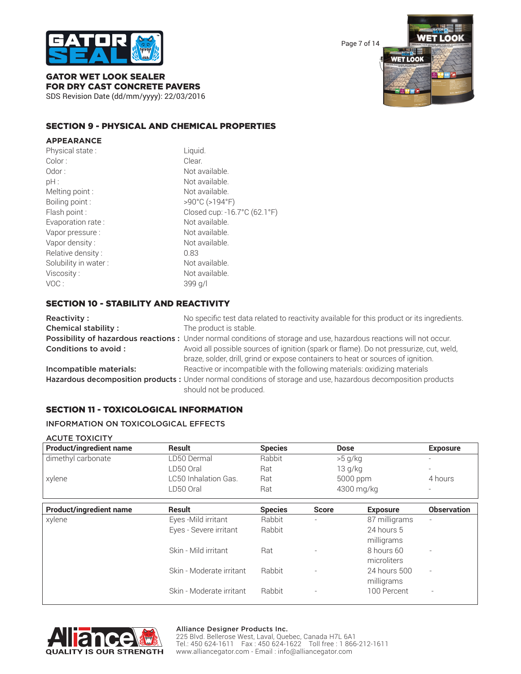

Page 7 of 14



GATOR WET LOOK SEALER FOR DRY CAST CONCRETE PAVERS SDS Revision Date (dd/mm/yyyy): 22/03/2016

# SECTION 9 - PHYSICAL AND CHEMICAL PROPERTIES

| <b>APPEARANCE</b>    |                              |
|----------------------|------------------------------|
| Physical state:      | Liquid.                      |
| Color:               | Clear.                       |
| Odor :               | Not available.               |
| pH :                 | Not available.               |
| Melting point:       | Not available.               |
| Boiling point:       | >90°C (>194°F)               |
| Flash point :        | Closed cup: -16.7°C (62.1°F) |
| Evaporation rate:    | Not available.               |
| Vapor pressure:      | Not available.               |
| Vapor density:       | Not available.               |
| Relative density:    | 0.83                         |
| Solubility in water: | Not available.               |
| Viscosity:           | Not available.               |
| VOC:                 | 399 g/l                      |

# SECTION 10 - STABILITY AND REACTIVITY

| <b>Reactivity:</b>         | No specific test data related to reactivity available for this product or its ingredients.                                                                                 |
|----------------------------|----------------------------------------------------------------------------------------------------------------------------------------------------------------------------|
| <b>Chemical stability:</b> | The product is stable.                                                                                                                                                     |
|                            | Possibility of hazardous reactions: Under normal conditions of storage and use, hazardous reactions will not occur.                                                        |
| Conditions to avoid :      | Avoid all possible sources of ignition (spark or flame). Do not pressurize, cut, weld,<br>braze, solder, drill, grind or expose containers to heat or sources of ignition. |
| Incompatible materials:    | Reactive or incompatible with the following materials: oxidizing materials                                                                                                 |
|                            | Hazardous decomposition products : Under normal conditions of storage and use, hazardous decomposition products<br>should not be produced.                                 |

# SECTION 11 - TOXICOLOGICAL INFORMATION

#### INFORMATION ON TOXICOLOGICAL EFFECTS

| <b>ACUTE TOXICITY</b>          |                          |                |              |                            |                          |
|--------------------------------|--------------------------|----------------|--------------|----------------------------|--------------------------|
| <b>Product/ingredient name</b> | <b>Result</b>            | <b>Species</b> | <b>Dose</b>  |                            | <b>Exposure</b>          |
| dimethyl carbonate             | LD50 Dermal              | Rabbit         | $>5$ g/kg    |                            | $\overline{\phantom{a}}$ |
|                                | LD50 Oral                | Rat            | $13$ g/kg    |                            |                          |
| xylene                         | LC50 Inhalation Gas.     | Rat            |              | 5000 ppm                   | 4 hours                  |
|                                | LD50 Oral                | Rat            |              | 4300 mg/kg                 | $\overline{\phantom{a}}$ |
| <b>Product/ingredient name</b> | Result                   | <b>Species</b> | <b>Score</b> | <b>Exposure</b>            | <b>Observation</b>       |
| xylene                         | Eyes-Mild irritant       | Rabbit         |              | 87 milligrams              |                          |
|                                | Eyes - Severe irritant   | Rabbit         |              | 24 hours 5<br>milligrams   |                          |
|                                | Skin - Mild irritant     | Rat            |              | 8 hours 60<br>microliters  |                          |
|                                | Skin - Moderate irritant | Rabbit         |              | 24 hours 500<br>milligrams | $\qquad \qquad -$        |
|                                | Skin - Moderate irritant | Rabbit         |              | 100 Percent                | $\overline{\phantom{a}}$ |

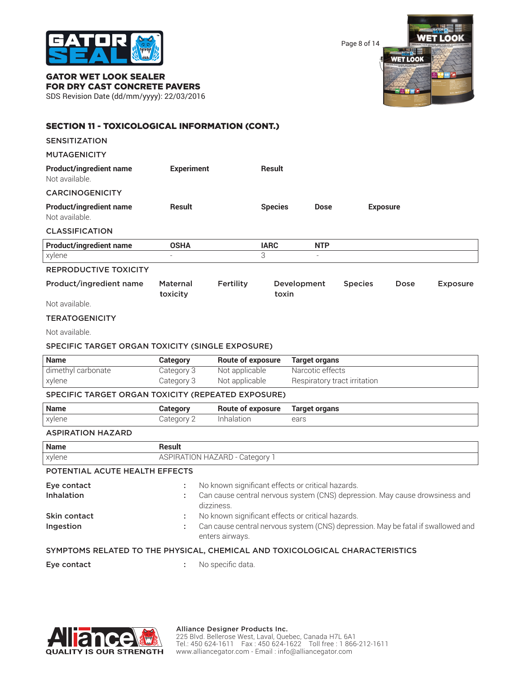

Page 8 of 14



#### GATOR WET LOOK SEALER FOR DRY CAST CONCRETE PAVERS SDS Revision Date (dd/mm/yyyy): 22/03/2016

| <b>SECTION 11 - TOXICOLOGICAL INFORMATION (CONT.)</b>                        |                             |                                                                                                                                                          |                |                              |                |                 |                 |
|------------------------------------------------------------------------------|-----------------------------|----------------------------------------------------------------------------------------------------------------------------------------------------------|----------------|------------------------------|----------------|-----------------|-----------------|
| <b>SENSITIZATION</b>                                                         |                             |                                                                                                                                                          |                |                              |                |                 |                 |
| <b>MUTAGENICITY</b>                                                          |                             |                                                                                                                                                          |                |                              |                |                 |                 |
| <b>Product/ingredient name</b><br>Not available.                             | <b>Experiment</b>           |                                                                                                                                                          | Result         |                              |                |                 |                 |
| <b>CARCINOGENICITY</b>                                                       |                             |                                                                                                                                                          |                |                              |                |                 |                 |
| <b>Product/ingredient name</b><br>Not available.                             | Result                      |                                                                                                                                                          | <b>Species</b> | Dose                         |                | <b>Exposure</b> |                 |
| <b>CLASSIFICATION</b>                                                        |                             |                                                                                                                                                          |                |                              |                |                 |                 |
| <b>Product/ingredient name</b>                                               | <b>OSHA</b>                 |                                                                                                                                                          | <b>IARC</b>    | <b>NTP</b>                   |                |                 |                 |
| xylene                                                                       |                             |                                                                                                                                                          | 3              |                              |                |                 |                 |
| <b>REPRODUCTIVE TOXICITY</b>                                                 |                             |                                                                                                                                                          |                |                              |                |                 |                 |
| Product/ingredient name                                                      | <b>Maternal</b><br>toxicity | Fertility                                                                                                                                                | toxin          | Development                  | <b>Species</b> | Dose            | <b>Exposure</b> |
| Not available.                                                               |                             |                                                                                                                                                          |                |                              |                |                 |                 |
| <b>TERATOGENICITY</b>                                                        |                             |                                                                                                                                                          |                |                              |                |                 |                 |
| Not available.                                                               |                             |                                                                                                                                                          |                |                              |                |                 |                 |
| SPECIFIC TARGET ORGAN TOXICITY (SINGLE EXPOSURE)                             |                             |                                                                                                                                                          |                |                              |                |                 |                 |
| <b>Name</b>                                                                  | Category                    | <b>Route of exposure</b>                                                                                                                                 |                | <b>Target organs</b>         |                |                 |                 |
| dimethyl carbonate                                                           | Category 3                  | Not applicable                                                                                                                                           |                | Narcotic effects             |                |                 |                 |
| xylene                                                                       | Category 3                  | Not applicable                                                                                                                                           |                | Respiratory tract irritation |                |                 |                 |
| SPECIFIC TARGET ORGAN TOXICITY (REPEATED EXPOSURE)                           |                             |                                                                                                                                                          |                |                              |                |                 |                 |
| <b>Name</b>                                                                  | <b>Category</b>             | <b>Route of exposure</b>                                                                                                                                 |                | <b>Target organs</b>         |                |                 |                 |
| xylene                                                                       | Category 2                  | Inhalation                                                                                                                                               |                | ears                         |                |                 |                 |
| <b>ASPIRATION HAZARD</b>                                                     |                             |                                                                                                                                                          |                |                              |                |                 |                 |
| <b>Name</b>                                                                  | <b>Result</b>               |                                                                                                                                                          |                |                              |                |                 |                 |
| xylene                                                                       |                             | <b>ASPIRATION HAZARD - Category 1</b>                                                                                                                    |                |                              |                |                 |                 |
| POTENTIAL ACUTE HEALTH EFFECTS                                               |                             |                                                                                                                                                          |                |                              |                |                 |                 |
| Eye contact<br><b>Inhalation</b>                                             |                             | No known significant effects or critical hazards.<br>Can cause central nervous system (CNS) depression. May cause drowsiness and<br>dizziness.           |                |                              |                |                 |                 |
| Skin contact<br>Ingestion                                                    |                             | No known significant effects or critical hazards.<br>Can cause central nervous system (CNS) depression. May be fatal if swallowed and<br>enters airways. |                |                              |                |                 |                 |
| SYMPTOMS RELATED TO THE PHYSICAL, CHEMICAL AND TOXICOLOGICAL CHARACTERISTICS |                             |                                                                                                                                                          |                |                              |                |                 |                 |
| Eye contact                                                                  |                             | No specific data.                                                                                                                                        |                |                              |                |                 |                 |

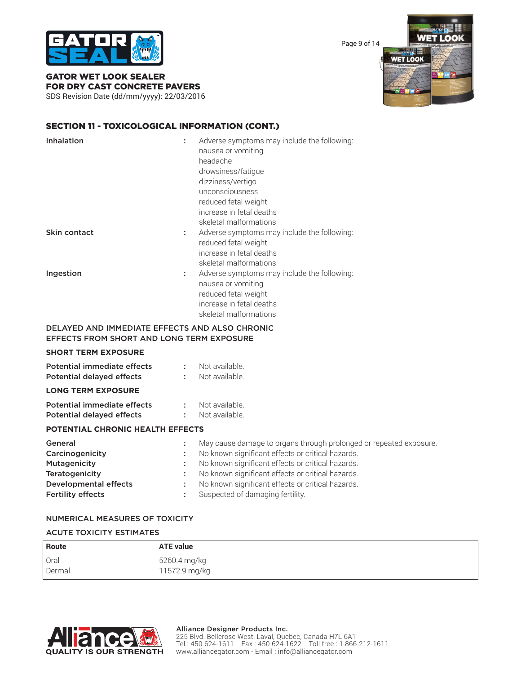

Page 9 of 14



GATOR WET LOOK SEALER FOR DRY CAST CONCRETE PAVERS

SDS Revision Date (dd/mm/yyyy): 22/03/2016

# SECTION 11 - TOXICOLOGICAL INFORMATION (CONT.)

| <b>Inhalation</b>                              | ÷ | Adverse symptoms may include the following:<br>nausea or vomiting<br>headache<br>drowsiness/fatique<br>dizziness/vertigo<br>unconsciousness<br>reduced fetal weight<br>increase in fetal deaths |
|------------------------------------------------|---|-------------------------------------------------------------------------------------------------------------------------------------------------------------------------------------------------|
|                                                |   | skeletal malformations                                                                                                                                                                          |
| Skin contact                                   | ÷ | Adverse symptoms may include the following:<br>reduced fetal weight<br>increase in fetal deaths<br>skeletal malformations                                                                       |
| Ingestion                                      | ÷ | Adverse symptoms may include the following:<br>nausea or vomiting<br>reduced fetal weight<br>increase in fetal deaths<br>skeletal malformations                                                 |
| DELAYED AND IMMEDIATE EFFECTS AND ALSO CHRONIC |   |                                                                                                                                                                                                 |

EFFECTS FROM SHORT AND LONG TERM EXPOSURE

#### **SHORT TERM EXPOSURE**

| Potential immediate effects<br><b>Potential delaved effects</b> | Not available.<br>Not available. |
|-----------------------------------------------------------------|----------------------------------|
| <b>LONG TERM EXPOSURE</b>                                       |                                  |
| Potential immediate effects                                     | Not available.                   |

|                           | .              |
|---------------------------|----------------|
| Potential delayed effects | Not available. |

#### **POTENTIAL CHRONIC HEALTH EFFECTS**

| General                  | May cause damage to organs through prolonged or repeated exposure. |
|--------------------------|--------------------------------------------------------------------|
| Carcinogenicity          | No known significant effects or critical hazards.                  |
| Mutagenicity             | No known significant effects or critical hazards.                  |
| <b>Teratogenicity</b>    | No known significant effects or critical hazards.                  |
| Developmental effects    | No known significant effects or critical hazards.                  |
| <b>Fertility effects</b> | Suspected of damaging fertility.                                   |

# NUMERICAL MEASURES OF TOXICITY

#### ACUTE TOXICITY ESTIMATES

| Route             | <b>ATE value</b> |
|-------------------|------------------|
| <sup>1</sup> Oral | 5260.4 mg/kg     |
| Dermal            | 11572.9 mg/kg    |



#### Alliance Designer Products Inc.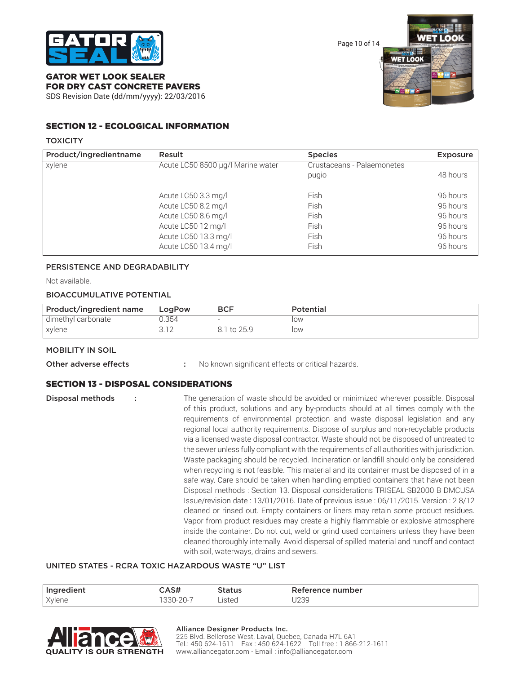

Page 10 of 14



# GATOR WET LOOK SEALER FOR DRY CAST CONCRETE PAVERS

SDS Revision Date (dd/mm/yyyy): 22/03/2016

# SECTION 12 - ECOLOGICAL INFORMATION

#### **TOXICITY**

| Product/ingredientname | Result                            | <b>Species</b>             | <b>Exposure</b> |
|------------------------|-----------------------------------|----------------------------|-----------------|
| xylene                 | Acute LC50 8500 µg/l Marine water | Crustaceans - Palaemonetes |                 |
|                        |                                   | pugio                      | 48 hours        |
|                        |                                   |                            |                 |
|                        | Acute LC50 3.3 mg/l               | Fish                       | 96 hours        |
|                        | Acute LC50 8.2 mg/l               | Fish                       | 96 hours        |
|                        | Acute LC50 8.6 mg/l               | Fish                       | 96 hours        |
|                        | Acute LC50 12 mg/l                | Fish                       | 96 hours        |
|                        | Acute LC50 13.3 mg/l              | Fish                       | 96 hours        |
|                        | Acute LC50 13.4 mg/l              | Fish                       | 96 hours        |

## PERSISTENCE AND DEGRADABILITY

Not available.

## BIOACCUMULATIVE POTENTIAL

| Product/ingredient name | LogPow | <b>BCF</b>  | Potential |
|-------------------------|--------|-------------|-----------|
| dimethyl carbonate      | 0.354  |             | low       |
| xylene                  |        | 8.1 to 25.9 | low       |

#### MOBILITY IN SOIL

Other adverse effects : No known significant effects or critical hazards.

# SECTION 13 - DISPOSAL CONSIDERATIONS

**Disposal methods** : The generation of waste should be avoided or minimized wherever possible. Disposal of this product, solutions and any by-products should at all times comply with the requirements of environmental protection and waste disposal legislation and any regional local authority requirements. Dispose of surplus and non-recyclable products via a licensed waste disposal contractor. Waste should not be disposed of untreated to the sewer unless fully compliant with the requirements of all authorities with jurisdiction. Waste packaging should be recycled. Incineration or landfill should only be considered when recycling is not feasible. This material and its container must be disposed of in a safe way. Care should be taken when handling emptied containers that have not been Disposal methods : Section 13. Disposal considerations TRISEAL SB2000 B DMCUSA Issue/revision date : 13/01/2016. Date of previous issue : 06/11/2015. Version : 2 8/12 cleaned or rinsed out. Empty containers or liners may retain some product residues. Vapor from product residues may create a highly flammable or explosive atmosphere inside the container. Do not cut, weld or grind used containers unless they have been cleaned thoroughly internally. Avoid dispersal of spilled material and runoff and contact with soil, waterways, drains and sewers.

# UNITED STATES - RCRA TOXIC HAZARDOUS WASTE "U" LIST

| -----<br>Ing<br>пенс    | $\sim$ $\mu$<br>1.JH | .          | number<br>лс |
|-------------------------|----------------------|------------|--------------|
| Xylene<br>$\sim$ $\sim$ | $\cap$<br>$\sim$     | ister<br>. | 1230<br>∪∠∪ສ |



#### Alliance Designer Products Inc.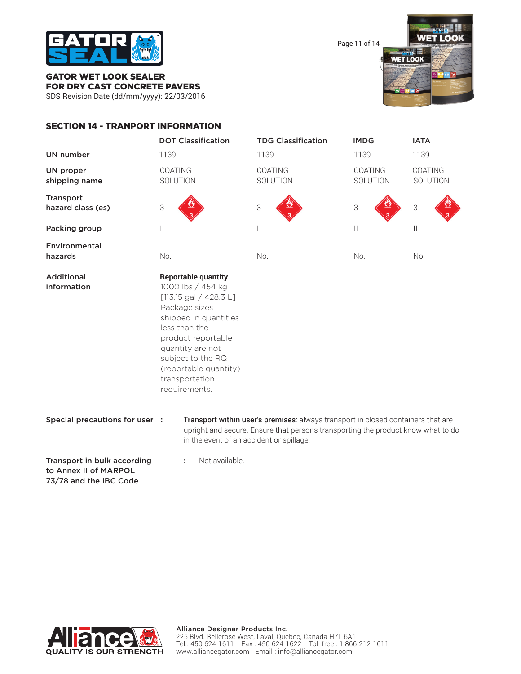

Page 11 of 14



#### GATOR WET LOOK SEALER FOR DRY CAST CONCRETE PAVERS

SDS Revision Date (dd/mm/yyyy): 22/03/2016

# SECTION 14 - TRANPORT INFORMATION

|                                       | <b>DOT Classification</b>                                                                                                                                                                                                                                       | <b>TDG Classification</b> | <b>IMDG</b>                | <b>IATA</b>                |
|---------------------------------------|-----------------------------------------------------------------------------------------------------------------------------------------------------------------------------------------------------------------------------------------------------------------|---------------------------|----------------------------|----------------------------|
| <b>UN number</b>                      | 1139                                                                                                                                                                                                                                                            | 1139                      | 1139                       | 1139                       |
| <b>UN proper</b><br>shipping name     | COATING<br>SOLUTION                                                                                                                                                                                                                                             | COATING<br>SOLUTION       | <b>COATING</b><br>SOLUTION | <b>COATING</b><br>SOLUTION |
| <b>Transport</b><br>hazard class (es) | 3                                                                                                                                                                                                                                                               | 3                         | 3                          | 3                          |
| Packing group                         | $\begin{array}{c} \hline \end{array}$                                                                                                                                                                                                                           | $\mathbf{  }$             | $\mathbf{  }$              | $\mathbb{I}$               |
| Environmental<br>hazards              | No.                                                                                                                                                                                                                                                             | No.                       | No.                        | No.                        |
| <b>Additional</b><br>information      | <b>Reportable quantity</b><br>1000 lbs / 454 kg<br>[113.15 gal / 428.3 L]<br>Package sizes<br>shipped in quantities<br>less than the<br>product reportable<br>quantity are not<br>subject to the RQ<br>(reportable quantity)<br>transportation<br>requirements. |                           |                            |                            |

Special precautions for user : Transport within user's premises: always transport in closed containers that are upright and secure. Ensure that persons transporting the product know what to do in the event of an accident or spillage.

**Transport in bulk according : Not available.** to Annex II of MARPOL 73/78 and the IBC Code

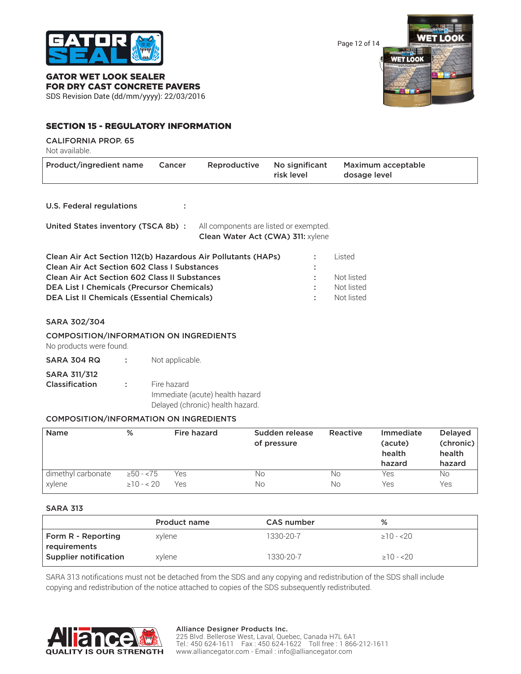

Page 12 of 14



#### GATOR WET LOOK SEALER FOR DRY CAST CONCRETE PAVERS

SDS Revision Date (dd/mm/yyyy): 22/03/2016

# SECTION 15 - REGULATORY INFORMATION

CALIFORNIA PROP. 65

Not available.

| Product/ingredient name                                      | Cancer | Reproductive                                                                | No significant<br>risk level | Maximum acceptable<br>dosage level |
|--------------------------------------------------------------|--------|-----------------------------------------------------------------------------|------------------------------|------------------------------------|
|                                                              |        |                                                                             |                              |                                    |
| U.S. Federal regulations                                     |        |                                                                             |                              |                                    |
| United States inventory (TSCA 8b) :                          |        | All components are listed or exempted.<br>Clean Water Act (CWA) 311: xylene |                              |                                    |
| Clean Air Act Section 112(b) Hazardous Air Pollutants (HAPs) |        |                                                                             |                              | Listed                             |
| <b>Clean Air Act Section 602 Class I Substances</b>          |        |                                                                             | ٠<br>٠                       |                                    |
| <b>Clean Air Act Section 602 Class II Substances</b>         |        |                                                                             | ۰                            | Not listed                         |
| <b>DEA List I Chemicals (Precursor Chemicals)</b>            |        |                                                                             | ٠                            | Not listed                         |
| <b>DEA List II Chemicals (Essential Chemicals)</b>           |        |                                                                             | ٠                            | Not listed                         |
| <b>SARA 302/304</b>                                          |        |                                                                             |                              |                                    |
| <b>COMPOSITION/INFORMATION ON INGREDIENTS</b>                |        |                                                                             |                              |                                    |

No products were found.

| SARA 304 RQ         | $\mathcal{L}^{\text{max}}$ | Not applicable.                                                                    |
|---------------------|----------------------------|------------------------------------------------------------------------------------|
| <b>SARA 311/312</b> |                            |                                                                                    |
| Classification      | $\mathcal{L}^{\text{max}}$ | Fire hazard<br>Immediate (acute) health hazard<br>Delayed (chronic) health hazard. |

# COMPOSITION/INFORMATION ON INGREDIENTS

| <b>Name</b>        | %                | Fire hazard | Sudden release<br>of pressure | Reactive | <b>Immediate</b><br>(acute)<br>health<br>hazard | <b>Delayed</b><br>(chronic)<br>health<br>hazard |
|--------------------|------------------|-------------|-------------------------------|----------|-------------------------------------------------|-------------------------------------------------|
| dimethyl carbonate | $\geq 50 - 75$   | Yes         | Νo                            | No       | Yes                                             | No                                              |
| xylene             | $\geq$ 10 - < 20 | Yes         | Νo                            | No       | Yes                                             | Yes                                             |

#### SARA 313

|                                    | Product name | CAS number | %               |
|------------------------------------|--------------|------------|-----------------|
| Form R - Reporting<br>requirements | xvlene       | 1330-20-7  | $\geq 10 - 20$  |
| Supplier notification              | xylene       | 1330-20-7  | $\geq$ 10 - <20 |

SARA 313 notifications must not be detached from the SDS and any copying and redistribution of the SDS shall include copying and redistribution of the notice attached to copies of the SDS subsequently redistributed.



#### Alliance Designer Products Inc.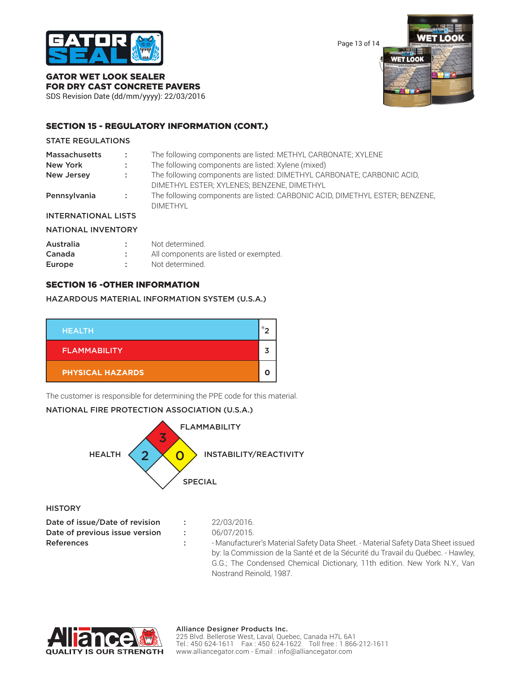

Page 13 of 14



#### GATOR WET LOOK SEALER FOR DRY CAST CONCRETE PAVERS

SDS Revision Date (dd/mm/yyyy): 22/03/2016

# SECTION 15 - REGULATORY INFORMATION (CONT.)

## STATE REGULATIONS

| <b>Massachusetts</b>       |                | The following components are listed: METHYL CARBONATE; XYLENE                                                         |
|----------------------------|----------------|-----------------------------------------------------------------------------------------------------------------------|
| New York                   | ÷.             | The following components are listed: Xylene (mixed)                                                                   |
| <b>New Jersey</b>          | ÷              | The following components are listed: DIMETHYL CARBONATE; CARBONIC ACID,<br>DIMETHYL ESTER; XYLENES; BENZENE, DIMETHYL |
| Pennsylvania               | <b>COLLECT</b> | The following components are listed: CARBONIC ACID, DIMETHYL ESTER; BENZENE,<br><b>DIMETHYL</b>                       |
| <b>INTERNATIONAL LISTS</b> |                |                                                                                                                       |
| <b>NATIONAL INVENTORY</b>  |                |                                                                                                                       |
|                            |                |                                                                                                                       |

| Australia | Not determined.                        |
|-----------|----------------------------------------|
| Canada    | All components are listed or exempted. |
| Europe    | Not determined.                        |

# SECTION 16 -OTHER INFORMATION

# HAZARDOUS MATERIAL INFORMATION SYSTEM (U.S.A.)

| <b>HEALTH</b>           |  |
|-------------------------|--|
| <b>FLAMMABILITY</b>     |  |
| <b>PHYSICAL HAZARDS</b> |  |

The customer is responsible for determining the PPE code for this material.

# NATIONAL FIRE PROTECTION ASSOCIATION (U.S.A.)



**HISTORY** 

| Date of issue/Date of revision |  |
|--------------------------------|--|
| Date of previous issue version |  |
| <b>References</b>              |  |

- $: 22/03/2016.$
- $.06/07/2015.$
- : · · Manufacturer's Material Safety Data Sheet. Material Safety Data Sheet issued by: la Commission de la Santé et de la Sécurité du Travail du Québec. - Hawley, G.G.; The Condensed Chemical Dictionary, 11th edition. New York N.Y., Van Nostrand Reinold, 1987.